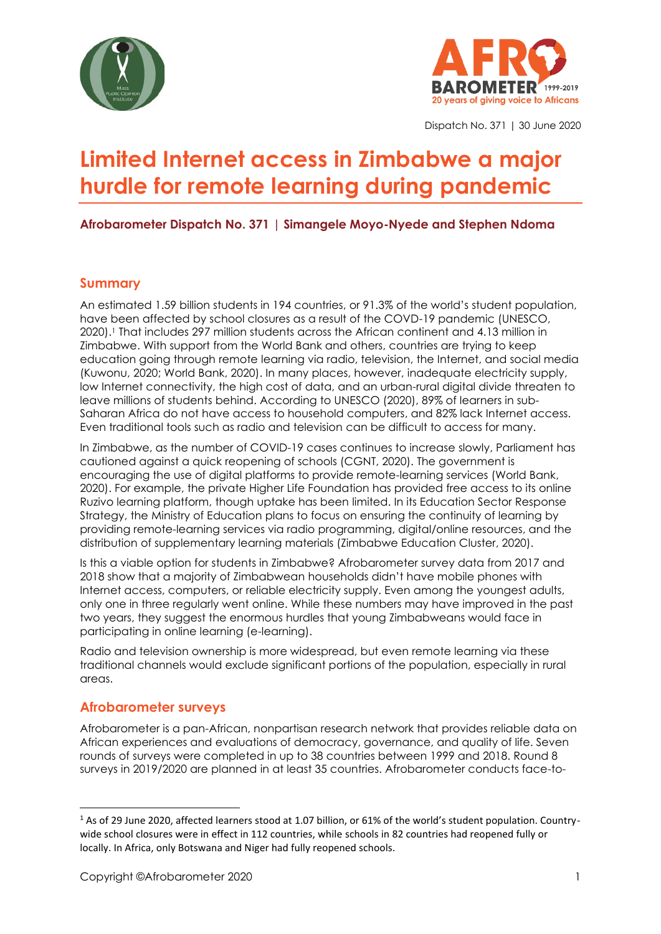



Dispatch No. 371 | 30 June 2020

# **Limited Internet access in Zimbabwe a major hurdle for remote learning during pandemic**

**Afrobarometer Dispatch No. 371 | Simangele Moyo-Nyede and Stephen Ndoma**

#### **Summary**

An estimated 1.59 billion students in 194 countries, or 91.3% of the world's student population, have been affected by school closures as a result of the COVD-19 pandemic (UNESCO, 2020).<sup>1</sup> That includes 297 million students across the African continent and 4.13 million in Zimbabwe. With support from the World Bank and others, countries are trying to keep education going through remote [learning](https://en.unesco.org/covid19/educationresponse/nationalresponses) via radio, television, the Internet, and social media (Kuwonu, 2020; World Bank, 2020). In many places, however, inadequate electricity supply, low Internet connectivity, the high cost of data, and an urban-rural digital divide threaten to leave millions of students behind. According to UNESCO (2020), 89% of learners in sub-Saharan Africa do not have access to household computers, and 82% lack Internet access. Even traditional tools such as radio and television can be difficult to access for many.

In Zimbabwe, as the number of COVID-19 cases continues to increase slowly, Parliament has cautioned against a quick reopening of schools (CGNT, 2020). The government is encouraging the use of digital platforms to provide remote-learning services (World Bank, 2020). For example, the private [Higher Life Foundation](https://www.higherlifefoundation.com/) has provided free access to its online Ruzivo learning platform, though uptake has been limited. In its Education Sector Response Strategy, the Ministry of Education plans to focus on ensuring the continuity of learning by providing remote-learning services via radio programming, digital/online resources, and the distribution of supplementary learning materials (Zimbabwe Education Cluster, 2020).

Is this a viable option for students in Zimbabwe? Afrobarometer survey data from 2017 and 2018 show that a majority of Zimbabwean households didn't have mobile phones with Internet access, computers, or reliable electricity supply. Even among the youngest adults, only one in three regularly went online. While these numbers may have improved in the past two years, they suggest the enormous hurdles that young Zimbabweans would face in participating in online learning (e-learning).

Radio and television ownership is more widespread, but even remote learning via these traditional channels would exclude significant portions of the population, especially in rural areas.

#### **Afrobarometer surveys**

Afrobarometer is a pan-African, nonpartisan research network that provides reliable data on African experiences and evaluations of democracy, governance, and quality of life. Seven rounds of surveys were completed in up to 38 countries between 1999 and 2018. Round 8 surveys in 2019/2020 are planned in at least 35 countries. Afrobarometer conducts face-to-

<sup>1</sup> As of 29 June 2020, affected learners stood at 1.07 billion, or 61% of the world's student population. Countrywide school closures were in effect in 112 countries, while schools in 82 countries had reopened fully or locally. In Africa, only Botswana and Niger had fully reopened schools.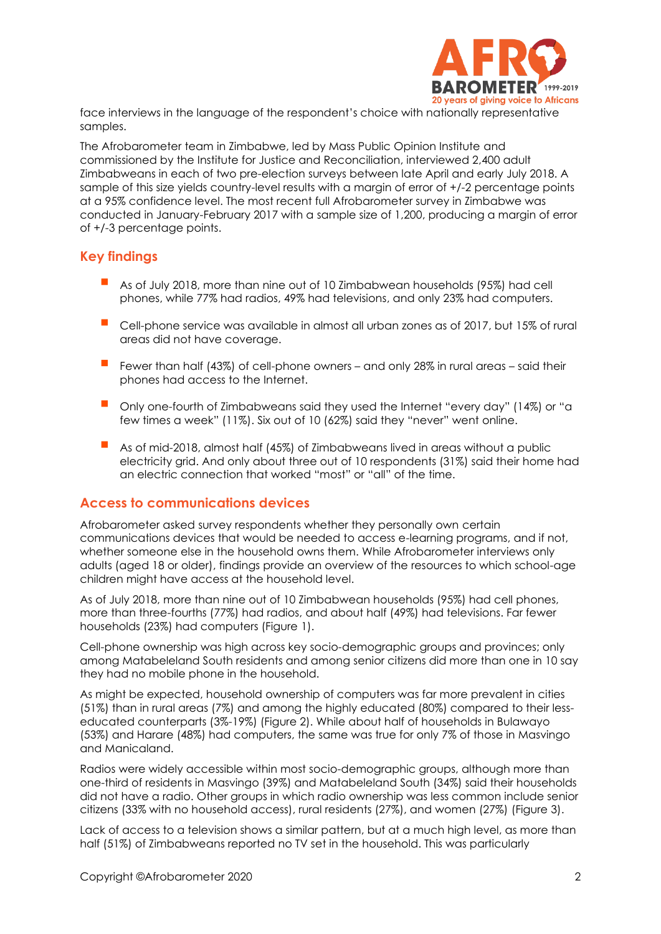

face interviews in the language of the respondent's choice with nationally representative samples.

The Afrobarometer team in Zimbabwe, led by Mass Public Opinion Institute and commissioned by the Institute for Justice and Reconciliation, interviewed 2,400 adult Zimbabweans in each of two pre-election surveys between late April and early July 2018. A sample of this size yields country-level results with a margin of error of +/-2 percentage points at a 95% confidence level. The most recent full Afrobarometer survey in Zimbabwe was conducted in January-February 2017 with a sample size of 1,200, producing a margin of error of +/-3 percentage points.

#### **Key findings**

- As of July 2018, more than nine out of 10 Zimbabwean households (95%) had cell phones, while 77% had radios, 49% had televisions, and only 23% had computers.
- Cell-phone service was available in almost all urban zones as of 2017, but 15% of rural areas did not have coverage.
- Fewer than half (43%) of cell-phone owners and only 28% in rural areas said their phones had access to the Internet.
- Only one-fourth of Zimbabweans said they used the Internet "every day" (14%) or "a few times a week" (11%). Six out of 10 (62%) said they "never" went online.
- As of mid-2018, almost half (45%) of Zimbabweans lived in areas without a public electricity grid. And only about three out of 10 respondents (31%) said their home had an electric connection that worked "most" or "all" of the time.

#### **Access to communications devices**

Afrobarometer asked survey respondents whether they personally own certain communications devices that would be needed to access e-learning programs, and if not, whether someone else in the household owns them. While Afrobarometer interviews only adults (aged 18 or older), findings provide an overview of the resources to which school-age children might have access at the household level.

As of July 2018, more than nine out of 10 Zimbabwean households (95%) had cell phones, more than three-fourths (77%) had radios, and about half (49%) had televisions. Far fewer households (23%) had computers (Figure 1).

Cell-phone ownership was high across key socio-demographic groups and provinces; only among Matabeleland South residents and among senior citizens did more than one in 10 say they had no mobile phone in the household.

As might be expected, household ownership of computers was far more prevalent in cities (51%) than in rural areas (7%) and among the highly educated (80%) compared to their lesseducated counterparts (3%-19%) (Figure 2). While about half of households in Bulawayo (53%) and Harare (48%) had computers, the same was true for only 7% of those in Masvingo and Manicaland.

Radios were widely accessible within most socio-demographic groups, although more than one-third of residents in Masvingo (39%) and Matabeleland South (34%) said their households did not have a radio. Other groups in which radio ownership was less common include senior citizens (33% with no household access), rural residents (27%), and women (27%) (Figure 3).

Lack of access to a television shows a similar pattern, but at a much high level, as more than half (51%) of Zimbabweans reported no TV set in the household. This was particularly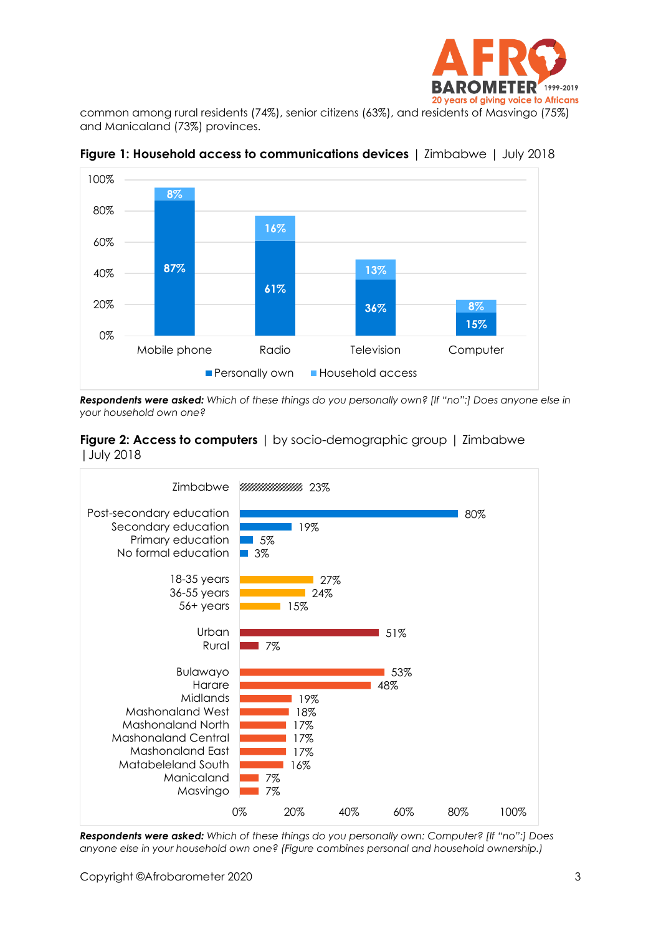

common among rural residents (74%), senior citizens (63%), and residents of Masvingo (75%) and Manicaland (73%) provinces.



**Figure 1: Household access to communications devices** | Zimbabwe | July 2018

*Respondents were asked: Which of these things do you personally own? [If "no":] Does anyone else in your household own one?* 





*Respondents were asked: Which of these things do you personally own: Computer? [If "no":] Does anyone else in your household own one? (Figure combines personal and household ownership.)*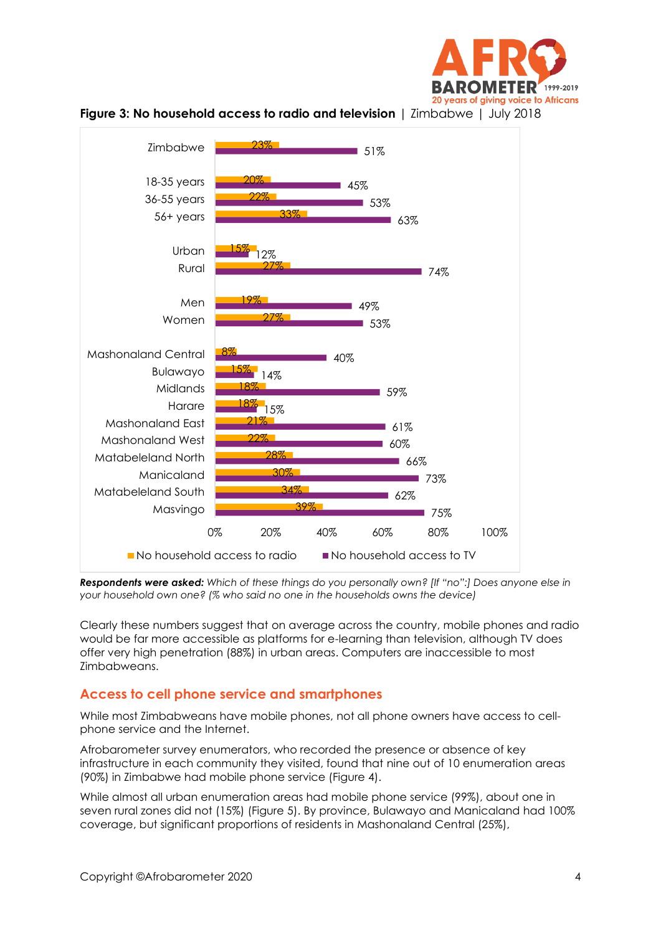





*Respondents were asked: Which of these things do you personally own? [If "no":] Does anyone else in your household own one? (% who said no one in the households owns the device)*

Clearly these numbers suggest that on average across the country, mobile phones and radio would be far more accessible as platforms for e-learning than television, although TV does offer very high penetration (88%) in urban areas. Computers are inaccessible to most Zimbabweans.

#### **Access to cell phone service and smartphones**

While most Zimbabweans have mobile phones, not all phone owners have access to cellphone service and the Internet.

Afrobarometer survey enumerators, who recorded the presence or absence of key infrastructure in each community they visited, found that nine out of 10 enumeration areas (90%) in Zimbabwe had mobile phone service (Figure 4).

While almost all urban enumeration areas had mobile phone service (99%), about one in seven rural zones did not (15%) (Figure 5). By province, Bulawayo and Manicaland had 100% coverage, but significant proportions of residents in Mashonaland Central (25%),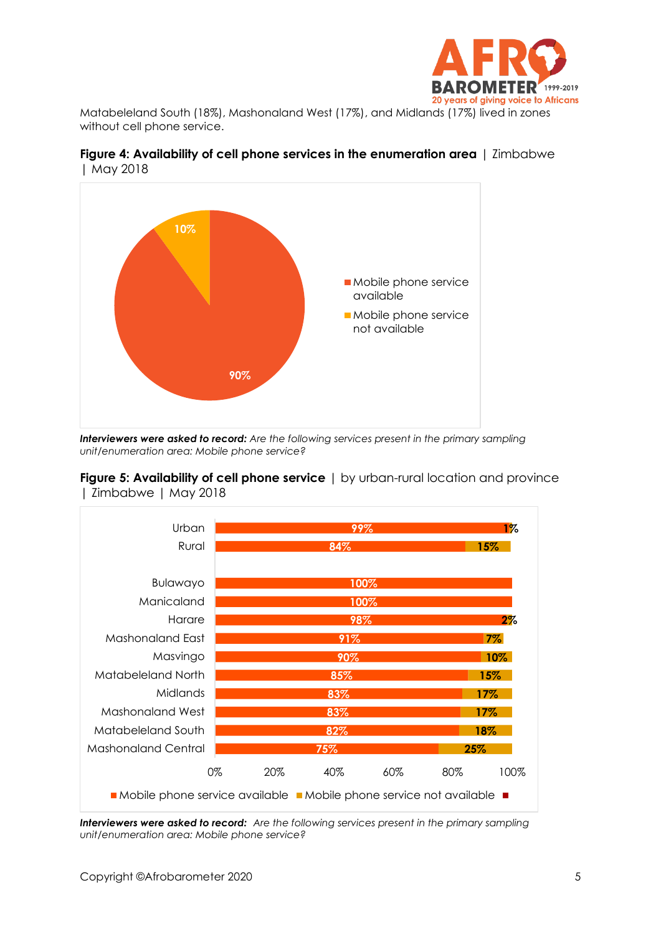

Matabeleland South (18%), Mashonaland West (17%), and Midlands (17%) lived in zones without cell phone service.



**Figure 4: Availability of cell phone services in the enumeration area** | Zimbabwe | May 2018

*Interviewers were asked to record: Are the following services present in the primary sampling unit/enumeration area: Mobile phone service?*



**Figure 5: Availability of cell phone service** | by urban-rural location and province | Zimbabwe | May 2018

*Interviewers were asked to record: Are the following services present in the primary sampling unit/enumeration area: Mobile phone service?*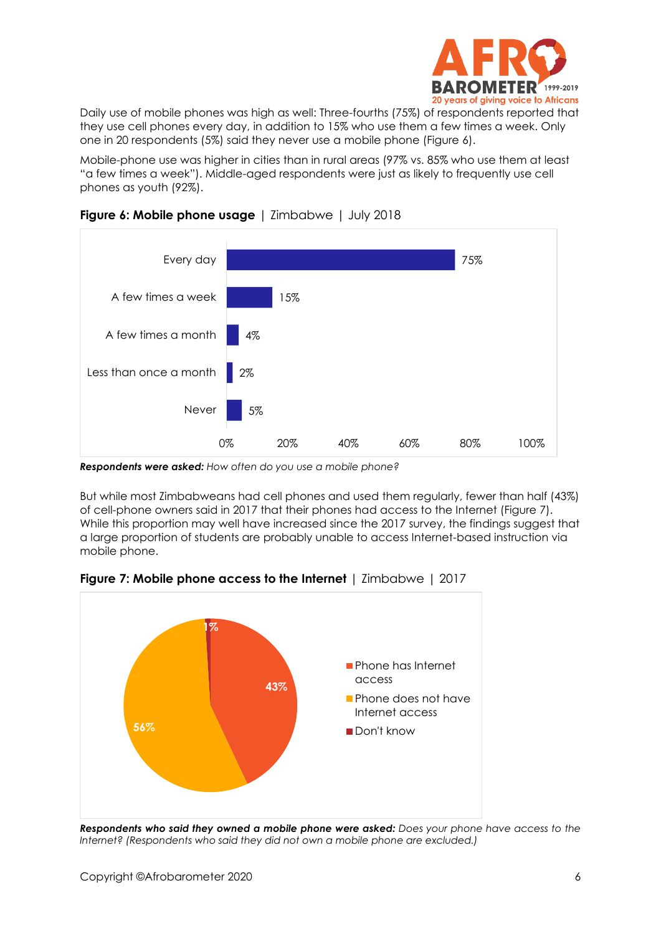

Daily use of mobile phones was high as well: Three-fourths (75%) of respondents reported that they use cell phones every day, in addition to 15% who use them a few times a week. Only one in 20 respondents (5%) said they never use a mobile phone (Figure 6).

Mobile-phone use was higher in cities than in rural areas (97% vs. 85% who use them at least "a few times a week"). Middle-aged respondents were just as likely to frequently use cell phones as youth (92%).



#### **Figure 6: Mobile phone usage** | Zimbabwe | July 2018

*Respondents were asked: How often do you use a mobile phone?*

But while most Zimbabweans had cell phones and used them regularly, fewer than half (43%) of cell-phone owners said in 2017 that their phones had access to the Internet (Figure 7). While this proportion may well have increased since the 2017 survey, the findings suggest that a large proportion of students are probably unable to access Internet-based instruction via mobile phone.



**Figure 7: Mobile phone access to the Internet** | Zimbabwe | 2017

*Respondents who said they owned a mobile phone were asked: Does your phone have access to the Internet? (Respondents who said they did not own a mobile phone are excluded.)*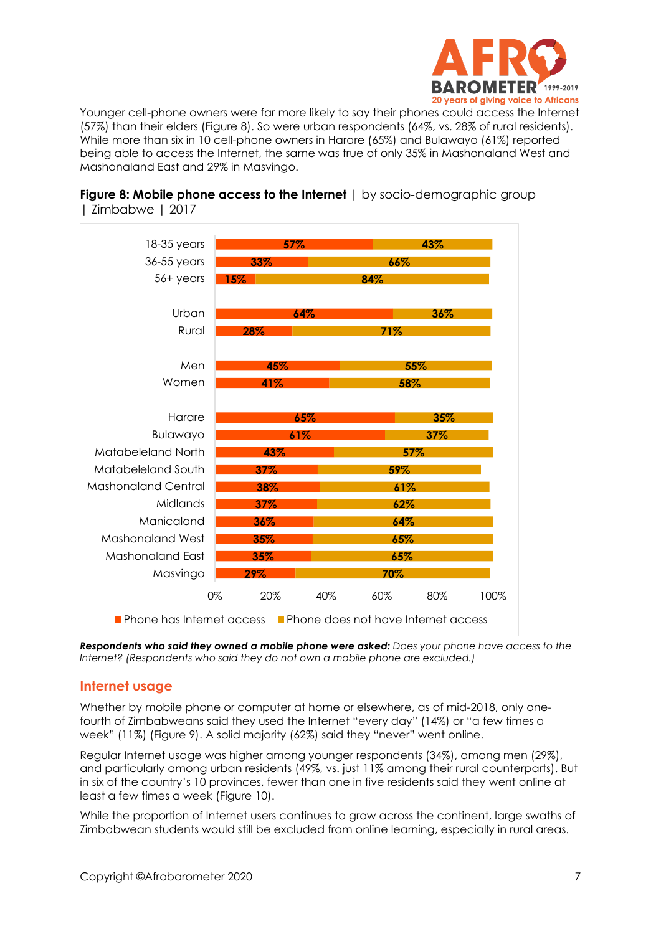

Younger cell-phone owners were far more likely to say their phones could access the Internet (57%) than their elders (Figure 8). So were urban respondents (64%, vs. 28% of rural residents). While more than six in 10 cell-phone owners in Harare (65%) and Bulawayo (61%) reported being able to access the Internet, the same was true of only 35% in Mashonaland West and Mashonaland East and 29% in Masvingo.



#### **Figure 8: Mobile phone access to the Internet** | by socio-demographic group | Zimbabwe | 2017

*Respondents who said they owned a mobile phone were asked: Does your phone have access to the Internet? (Respondents who said they do not own a mobile phone are excluded.)*

#### **Internet usage**

Whether by mobile phone or computer at home or elsewhere, as of mid-2018, only onefourth of Zimbabweans said they used the Internet "every day" (14%) or "a few times a week" (11%) (Figure 9). A solid majority (62%) said they "never" went online.

Regular Internet usage was higher among younger respondents (34%), among men (29%), and particularly among urban residents (49%, vs. just 11% among their rural counterparts). But in six of the country's 10 provinces, fewer than one in five residents said they went online at least a few times a week (Figure 10).

While the proportion of Internet users continues to grow across the continent, large swaths of Zimbabwean students would still be excluded from online learning, especially in rural areas.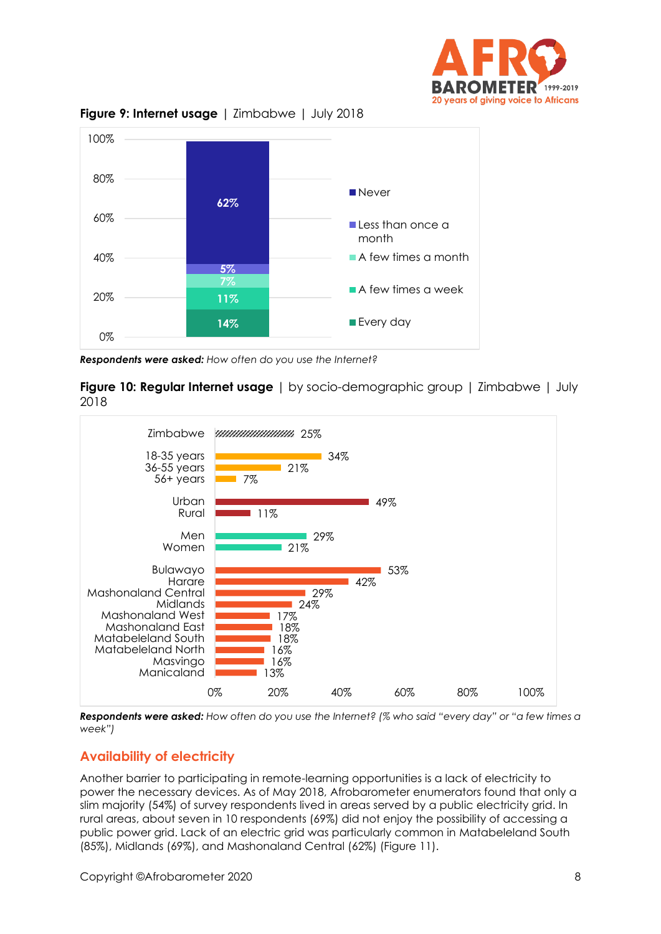



**Figure 9: Internet usage** | Zimbabwe | July 2018

*Respondents were asked: How often do you use the Internet?*

**Figure 10: Regular Internet usage** | by socio-demographic group | Zimbabwe | July 2018



*Respondents were asked: How often do you use the Internet? (% who said "every day" or "a few times a week")*

### **Availability of electricity**

Another barrier to participating in remote-learning opportunities is a lack of electricity to power the necessary devices. As of May 2018, Afrobarometer enumerators found that only a slim majority (54%) of survey respondents lived in areas served by a public electricity grid. In rural areas, about seven in 10 respondents (69%) did not enjoy the possibility of accessing a public power grid. Lack of an electric grid was particularly common in Matabeleland South (85%), Midlands (69%), and Mashonaland Central (62%) (Figure 11).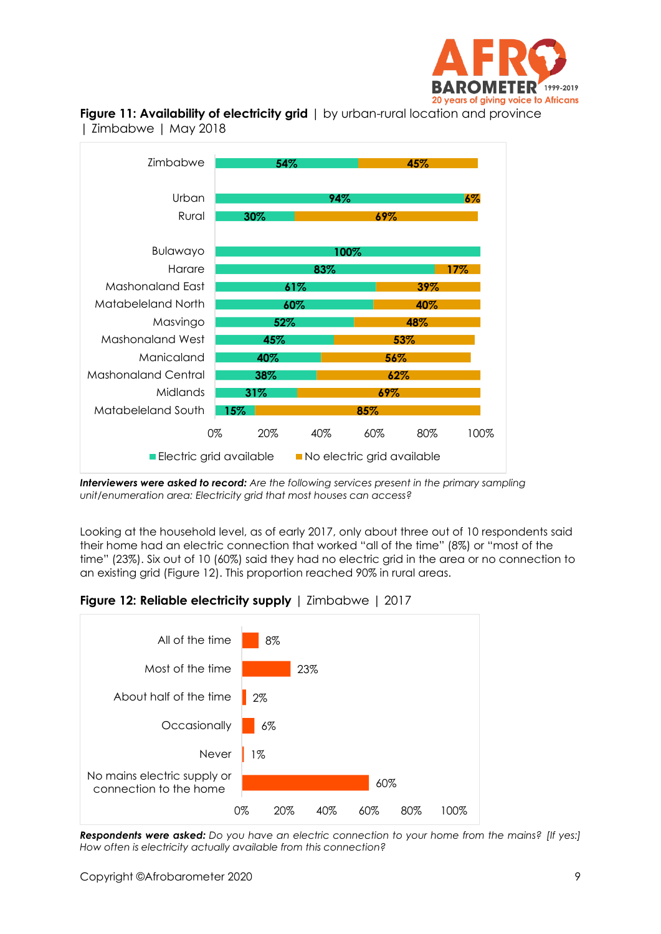





*Interviewers were asked to record: Are the following services present in the primary sampling unit/enumeration area: Electricity grid that most houses can access?*

Looking at the household level, as of early 2017, only about three out of 10 respondents said their home had an electric connection that worked "all of the time" (8%) or "most of the time" (23%). Six out of 10 (60%) said they had no electric grid in the area or no connection to an existing grid (Figure 12). This proportion reached 90% in rural areas.





*Respondents were asked: Do you have an electric connection to your home from the mains? [If yes:] How often is electricity actually available from this connection?*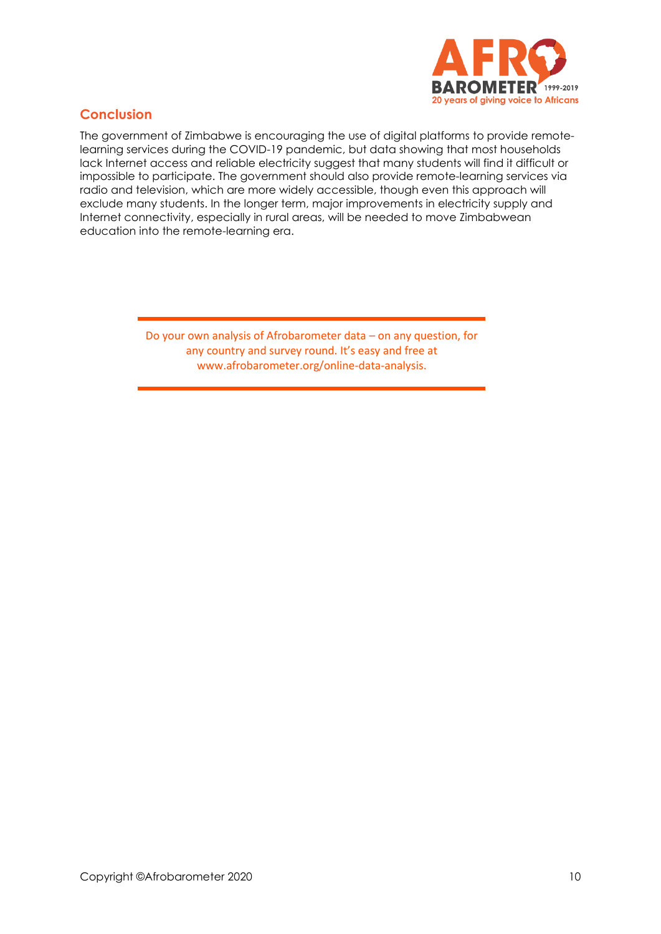

## **Conclusion**

The government of Zimbabwe is encouraging the use of digital platforms to provide remotelearning services during the COVID-19 pandemic, but data showing that most households lack Internet access and reliable electricity suggest that many students will find it difficult or impossible to participate. The government should also provide remote-learning services via radio and television, which are more widely accessible, though even this approach will exclude many students. In the longer term, major improvements in electricity supply and Internet connectivity, especially in rural areas, will be needed to move Zimbabwean education into the remote-learning era.

> Do your own analysis of Afrobarometer data – on any question, for any country and survey round. It's easy and free at www.afrobarometer.org/online-data-analysis.